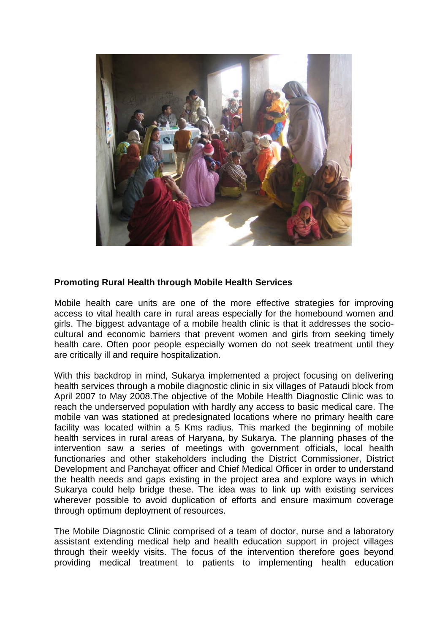

## **Promoting Rural Health through Mobile Health Services**

Mobile health care units are one of the more effective strategies for improving access to vital health care in rural areas especially for the homebound women and girls. The biggest advantage of a mobile health clinic is that it addresses the sociocultural and economic barriers that prevent women and girls from seeking timely health care. Often poor people especially women do not seek treatment until they are critically ill and require hospitalization.

With this backdrop in mind, Sukarya implemented a project focusing on delivering health services through a mobile diagnostic clinic in six villages of Pataudi block from April 2007 to May 2008.The objective of the Mobile Health Diagnostic Clinic was to reach the underserved population with hardly any access to basic medical care. The mobile van was stationed at predesignated locations where no primary health care facility was located within a 5 Kms radius. This marked the beginning of mobile health services in rural areas of Haryana, by Sukarya. The planning phases of the intervention saw a series of meetings with government officials, local health functionaries and other stakeholders including the District Commissioner, District Development and Panchayat officer and Chief Medical Officer in order to understand the health needs and gaps existing in the project area and explore ways in which Sukarya could help bridge these. The idea was to link up with existing services wherever possible to avoid duplication of efforts and ensure maximum coverage through optimum deployment of resources.

The Mobile Diagnostic Clinic comprised of a team of doctor, nurse and a laboratory assistant extending medical help and health education support in project villages through their weekly visits. The focus of the intervention therefore goes beyond providing medical treatment to patients to implementing health education